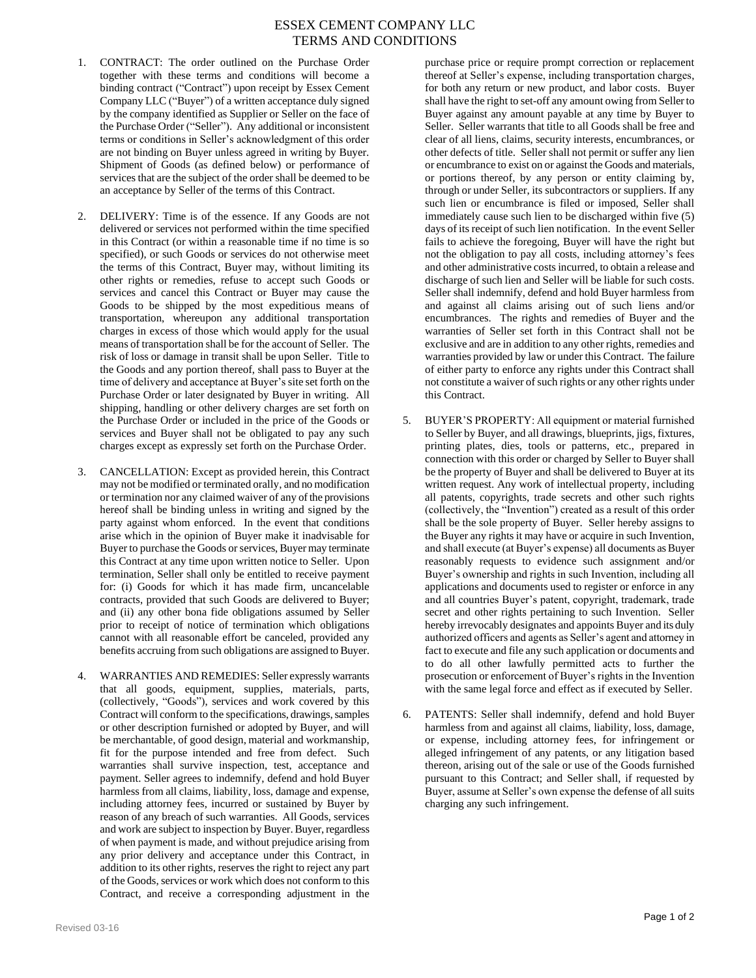## ESSEX CEMENT COMPANY LLC TERMS AND CONDITIONS

- 1. CONTRACT: The order outlined on the Purchase Order together with these terms and conditions will become a binding contract ("Contract") upon receipt by Essex Cement Company LLC ("Buyer") of a written acceptance duly signed by the company identified as Supplier or Seller on the face of the Purchase Order ("Seller"). Any additional or inconsistent terms or conditions in Seller's acknowledgment of this order are not binding on Buyer unless agreed in writing by Buyer. Shipment of Goods (as defined below) or performance of services that are the subject of the order shall be deemed to be an acceptance by Seller of the terms of this Contract.
- 2. DELIVERY: Time is of the essence. If any Goods are not delivered or services not performed within the time specified in this Contract (or within a reasonable time if no time is so specified), or such Goods or services do not otherwise meet the terms of this Contract, Buyer may, without limiting its other rights or remedies, refuse to accept such Goods or services and cancel this Contract or Buyer may cause the Goods to be shipped by the most expeditious means of transportation, whereupon any additional transportation charges in excess of those which would apply for the usual means of transportation shall be for the account of Seller. The risk of loss or damage in transit shall be upon Seller. Title to the Goods and any portion thereof, shall pass to Buyer at the time of delivery and acceptance at Buyer's site set forth on the Purchase Order or later designated by Buyer in writing. All shipping, handling or other delivery charges are set forth on the Purchase Order or included in the price of the Goods or services and Buyer shall not be obligated to pay any such charges except as expressly set forth on the Purchase Order.
- 3. CANCELLATION: Except as provided herein, this Contract may not be modified or terminated orally, and no modification or termination nor any claimed waiver of any of the provisions hereof shall be binding unless in writing and signed by the party against whom enforced. In the event that conditions arise which in the opinion of Buyer make it inadvisable for Buyer to purchase the Goods or services, Buyer may terminate this Contract at any time upon written notice to Seller. Upon termination, Seller shall only be entitled to receive payment for: (i) Goods for which it has made firm, uncancelable contracts, provided that such Goods are delivered to Buyer; and (ii) any other bona fide obligations assumed by Seller prior to receipt of notice of termination which obligations cannot with all reasonable effort be canceled, provided any benefits accruing from such obligations are assigned to Buyer.
- 4. WARRANTIES AND REMEDIES: Seller expressly warrants that all goods, equipment, supplies, materials, parts, (collectively, "Goods"), services and work covered by this Contract will conform to the specifications, drawings, samples or other description furnished or adopted by Buyer, and will be merchantable, of good design, material and workmanship, fit for the purpose intended and free from defect. Such warranties shall survive inspection, test, acceptance and payment. Seller agrees to indemnify, defend and hold Buyer harmless from all claims, liability, loss, damage and expense, including attorney fees, incurred or sustained by Buyer by reason of any breach of such warranties. All Goods, services and work are subject to inspection by Buyer. Buyer, regardless of when payment is made, and without prejudice arising from any prior delivery and acceptance under this Contract, in addition to its other rights, reserves the right to reject any part of the Goods, services or work which does not conform to this Contract, and receive a corresponding adjustment in the

purchase price or require prompt correction or replacement thereof at Seller's expense, including transportation charges, for both any return or new product, and labor costs. Buyer shall have the right to set-off any amount owing from Seller to Buyer against any amount payable at any time by Buyer to Seller. Seller warrants that title to all Goods shall be free and clear of all liens, claims, security interests, encumbrances, or other defects of title. Seller shall not permit or suffer any lien or encumbrance to exist on or against the Goods and materials, or portions thereof, by any person or entity claiming by, through or under Seller, its subcontractors or suppliers. If any such lien or encumbrance is filed or imposed, Seller shall immediately cause such lien to be discharged within five (5) days of its receipt of such lien notification. In the event Seller fails to achieve the foregoing, Buyer will have the right but not the obligation to pay all costs, including attorney's fees and other administrative costs incurred, to obtain a release and discharge of such lien and Seller will be liable for such costs. Seller shall indemnify, defend and hold Buyer harmless from and against all claims arising out of such liens and/or encumbrances. The rights and remedies of Buyer and the warranties of Seller set forth in this Contract shall not be exclusive and are in addition to any other rights, remedies and warranties provided by law or under this Contract. The failure of either party to enforce any rights under this Contract shall not constitute a waiver of such rights or any other rights under this Contract.

- 5. BUYER'S PROPERTY: All equipment or material furnished to Seller by Buyer, and all drawings, blueprints, jigs, fixtures, printing plates, dies, tools or patterns, etc., prepared in connection with this order or charged by Seller to Buyer shall be the property of Buyer and shall be delivered to Buyer at its written request. Any work of intellectual property, including all patents, copyrights, trade secrets and other such rights (collectively, the "Invention") created as a result of this order shall be the sole property of Buyer. Seller hereby assigns to the Buyer any rights it may have or acquire in such Invention, and shall execute (at Buyer's expense) all documents as Buyer reasonably requests to evidence such assignment and/or Buyer's ownership and rights in such Invention, including all applications and documents used to register or enforce in any and all countries Buyer's patent, copyright, trademark, trade secret and other rights pertaining to such Invention. Seller hereby irrevocably designates and appoints Buyer and its duly authorized officers and agents as Seller's agent and attorney in fact to execute and file any such application or documents and to do all other lawfully permitted acts to further the prosecution or enforcement of Buyer's rights in the Invention with the same legal force and effect as if executed by Seller.
- 6. PATENTS: Seller shall indemnify, defend and hold Buyer harmless from and against all claims, liability, loss, damage, or expense, including attorney fees, for infringement or alleged infringement of any patents, or any litigation based thereon, arising out of the sale or use of the Goods furnished pursuant to this Contract; and Seller shall, if requested by Buyer, assume at Seller's own expense the defense of all suits charging any such infringement.